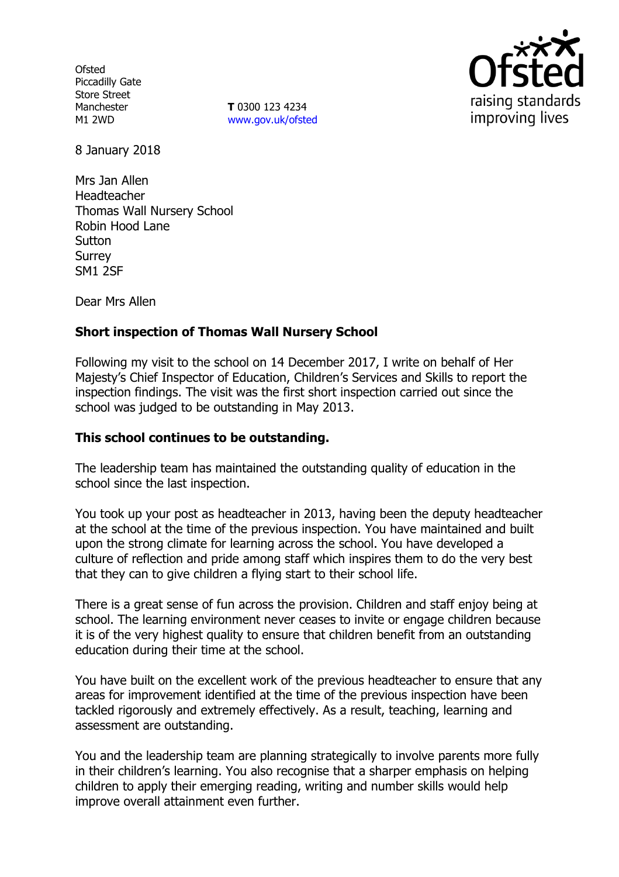**Ofsted** Piccadilly Gate Store Street Manchester M1 2WD

**T** 0300 123 4234 www.gov.uk/ofsted



8 January 2018

Mrs Jan Allen Headteacher Thomas Wall Nursery School Robin Hood Lane **Sutton** Surrey SM1 2SF

Dear Mrs Allen

# **Short inspection of Thomas Wall Nursery School**

Following my visit to the school on 14 December 2017, I write on behalf of Her Majesty's Chief Inspector of Education, Children's Services and Skills to report the inspection findings. The visit was the first short inspection carried out since the school was judged to be outstanding in May 2013.

## **This school continues to be outstanding.**

The leadership team has maintained the outstanding quality of education in the school since the last inspection.

You took up your post as headteacher in 2013, having been the deputy headteacher at the school at the time of the previous inspection. You have maintained and built upon the strong climate for learning across the school. You have developed a culture of reflection and pride among staff which inspires them to do the very best that they can to give children a flying start to their school life.

There is a great sense of fun across the provision. Children and staff enjoy being at school. The learning environment never ceases to invite or engage children because it is of the very highest quality to ensure that children benefit from an outstanding education during their time at the school.

You have built on the excellent work of the previous headteacher to ensure that any areas for improvement identified at the time of the previous inspection have been tackled rigorously and extremely effectively. As a result, teaching, learning and assessment are outstanding.

You and the leadership team are planning strategically to involve parents more fully in their children's learning. You also recognise that a sharper emphasis on helping children to apply their emerging reading, writing and number skills would help improve overall attainment even further.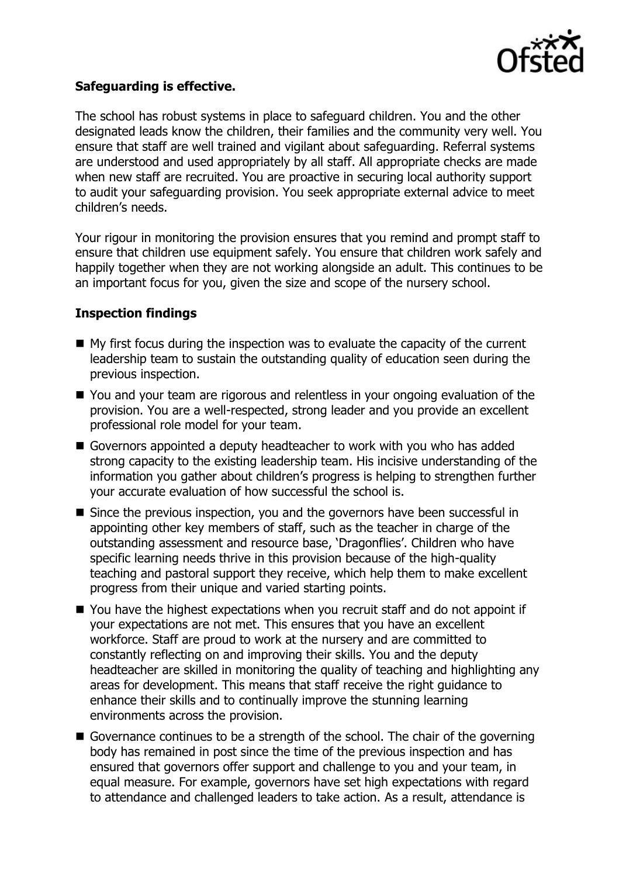

## **Safeguarding is effective.**

The school has robust systems in place to safeguard children. You and the other designated leads know the children, their families and the community very well. You ensure that staff are well trained and vigilant about safeguarding. Referral systems are understood and used appropriately by all staff. All appropriate checks are made when new staff are recruited. You are proactive in securing local authority support to audit your safeguarding provision. You seek appropriate external advice to meet children's needs.

Your rigour in monitoring the provision ensures that you remind and prompt staff to ensure that children use equipment safely. You ensure that children work safely and happily together when they are not working alongside an adult. This continues to be an important focus for you, given the size and scope of the nursery school.

## **Inspection findings**

- $\blacksquare$  My first focus during the inspection was to evaluate the capacity of the current leadership team to sustain the outstanding quality of education seen during the previous inspection.
- You and your team are rigorous and relentless in your ongoing evaluation of the provision. You are a well-respected, strong leader and you provide an excellent professional role model for your team.
- Governors appointed a deputy headteacher to work with you who has added strong capacity to the existing leadership team. His incisive understanding of the information you gather about children's progress is helping to strengthen further your accurate evaluation of how successful the school is.
- Since the previous inspection, you and the governors have been successful in appointing other key members of staff, such as the teacher in charge of the outstanding assessment and resource base, 'Dragonflies'. Children who have specific learning needs thrive in this provision because of the high-quality teaching and pastoral support they receive, which help them to make excellent progress from their unique and varied starting points.
- You have the highest expectations when you recruit staff and do not appoint if your expectations are not met. This ensures that you have an excellent workforce. Staff are proud to work at the nursery and are committed to constantly reflecting on and improving their skills. You and the deputy headteacher are skilled in monitoring the quality of teaching and highlighting any areas for development. This means that staff receive the right guidance to enhance their skills and to continually improve the stunning learning environments across the provision.
- Governance continues to be a strength of the school. The chair of the governing body has remained in post since the time of the previous inspection and has ensured that governors offer support and challenge to you and your team, in equal measure. For example, governors have set high expectations with regard to attendance and challenged leaders to take action. As a result, attendance is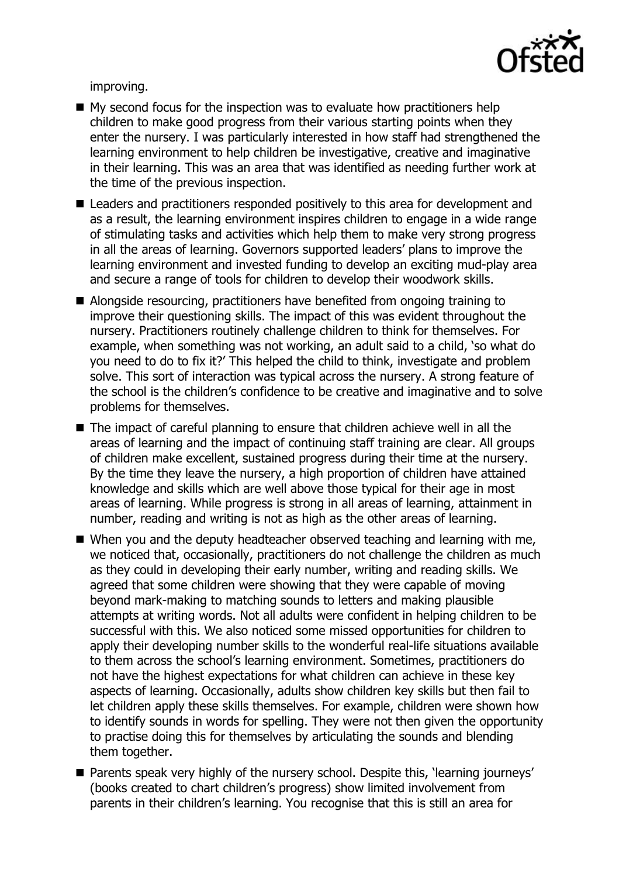

improving.

- $\blacksquare$  My second focus for the inspection was to evaluate how practitioners help children to make good progress from their various starting points when they enter the nursery. I was particularly interested in how staff had strengthened the learning environment to help children be investigative, creative and imaginative in their learning. This was an area that was identified as needing further work at the time of the previous inspection.
- Leaders and practitioners responded positively to this area for development and as a result, the learning environment inspires children to engage in a wide range of stimulating tasks and activities which help them to make very strong progress in all the areas of learning. Governors supported leaders' plans to improve the learning environment and invested funding to develop an exciting mud-play area and secure a range of tools for children to develop their woodwork skills.
- Alongside resourcing, practitioners have benefited from ongoing training to improve their questioning skills. The impact of this was evident throughout the nursery. Practitioners routinely challenge children to think for themselves. For example, when something was not working, an adult said to a child, 'so what do you need to do to fix it?' This helped the child to think, investigate and problem solve. This sort of interaction was typical across the nursery. A strong feature of the school is the children's confidence to be creative and imaginative and to solve problems for themselves.
- The impact of careful planning to ensure that children achieve well in all the areas of learning and the impact of continuing staff training are clear. All groups of children make excellent, sustained progress during their time at the nursery. By the time they leave the nursery, a high proportion of children have attained knowledge and skills which are well above those typical for their age in most areas of learning. While progress is strong in all areas of learning, attainment in number, reading and writing is not as high as the other areas of learning.
- When you and the deputy headteacher observed teaching and learning with me, we noticed that, occasionally, practitioners do not challenge the children as much as they could in developing their early number, writing and reading skills. We agreed that some children were showing that they were capable of moving beyond mark-making to matching sounds to letters and making plausible attempts at writing words. Not all adults were confident in helping children to be successful with this. We also noticed some missed opportunities for children to apply their developing number skills to the wonderful real-life situations available to them across the school's learning environment. Sometimes, practitioners do not have the highest expectations for what children can achieve in these key aspects of learning. Occasionally, adults show children key skills but then fail to let children apply these skills themselves. For example, children were shown how to identify sounds in words for spelling. They were not then given the opportunity to practise doing this for themselves by articulating the sounds and blending them together.
- **Parents speak very highly of the nursery school. Despite this, 'learning journeys'** (books created to chart children's progress) show limited involvement from parents in their children's learning. You recognise that this is still an area for